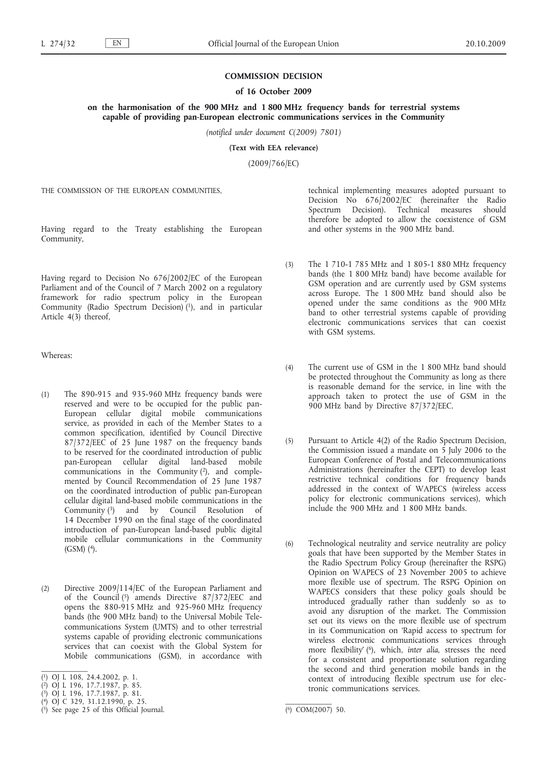## **COMMISSION DECISION**

## **of 16 October 2009**

**on the harmonisation of the 900 MHz and 1 800 MHz frequency bands for terrestrial systems capable of providing pan-European electronic communications services in the Community**

*(notified under document C(2009) 7801)*

**(Text with EEA relevance)**

(2009/766/EC)

THE COMMISSION OF THE EUROPEAN COMMUNITIES,

Having regard to the Treaty establishing the European Community,

Having regard to Decision No 676/2002/EC of the European Parliament and of the Council of 7 March 2002 on a regulatory framework for radio spectrum policy in the European Community (Radio Spectrum Decision) <sup>(1</sup>), and in particular Article 4(3) thereof,

Whereas:

- (1) The 890-915 and 935-960 MHz frequency bands were reserved and were to be occupied for the public pan-European cellular digital mobile communications service, as provided in each of the Member States to a common specification, identified by Council Directive 87/372/EEC of 25 June 1987 on the frequency bands to be reserved for the coordinated introduction of public pan-European cellular digital land-based mobile communications in the Community (2), and complemented by Council Recommendation of 25 June 1987 on the coordinated introduction of public pan-European cellular digital land-based mobile communications in the Community (3) and by Council Resolution of 14 December 1990 on the final stage of the coordinated introduction of pan-European land-based public digital mobile cellular communications in the Community  $(GSM)$   $(4)$ .
- (2) Directive 2009/114/EC of the European Parliament and of the Council (5) amends Directive 87/372/EEC and opens the 880-915 MHz and 925-960 MHz frequency bands (the 900 MHz band) to the Universal Mobile Telecommunications System (UMTS) and to other terrestrial systems capable of providing electronic communications services that can coexist with the Global System for Mobile communications (GSM), in accordance with

technical implementing measures adopted pursuant to Decision No 676/2002/EC (hereinafter the Radio Spectrum Decision). Technical measures should therefore be adopted to allow the coexistence of GSM and other systems in the 900 MHz band.

- (3) The 1 710-1 785 MHz and 1 805-1 880 MHz frequency bands (the 1 800 MHz band) have become available for GSM operation and are currently used by GSM systems across Europe. The 1 800 MHz band should also be opened under the same conditions as the 900 MHz band to other terrestrial systems capable of providing electronic communications services that can coexist with GSM systems.
- (4) The current use of GSM in the 1 800 MHz band should be protected throughout the Community as long as there is reasonable demand for the service, in line with the approach taken to protect the use of GSM in the 900 MHz band by Directive 87/372/EEC.
- (5) Pursuant to Article 4(2) of the Radio Spectrum Decision, the Commission issued a mandate on  $\frac{1}{5}$  July 2006 to the European Conference of Postal and Telecommunications Administrations (hereinafter the CEPT) to develop least restrictive technical conditions for frequency bands addressed in the context of WAPECS (wireless access policy for electronic communications services), which include the 900 MHz and 1 800 MHz bands.
- (6) Technological neutrality and service neutrality are policy goals that have been supported by the Member States in the Radio Spectrum Policy Group (hereinafter the RSPG) Opinion on WAPECS of 23 November 2005 to achieve more flexible use of spectrum. The RSPG Opinion on WAPECS considers that these policy goals should be introduced gradually rather than suddenly so as to avoid any disruption of the market. The Commission set out its views on the more flexible use of spectrum in its Communication on 'Rapid access to spectrum for wireless electronic communications services through more flexibility' (6), which, *inter alia*, stresses the need for a consistent and proportionate solution regarding the second and third generation mobile bands in the context of introducing flexible spectrum use for electronic communications services.

<sup>(</sup> 1) OJ L 108, 24.4.2002, p. 1.

<sup>(</sup> 2) OJ L 196, 17.7.1987, p. 85.

<sup>(</sup> 3) OJ L 196, 17.7.1987, p. 81.

<sup>(</sup> 4) OJ C 329, 31.12.1990, p. 25.

<sup>(</sup> $\frac{5}{2}$ ) See page 25 of this Official Journal. (6) COM(2007) 50.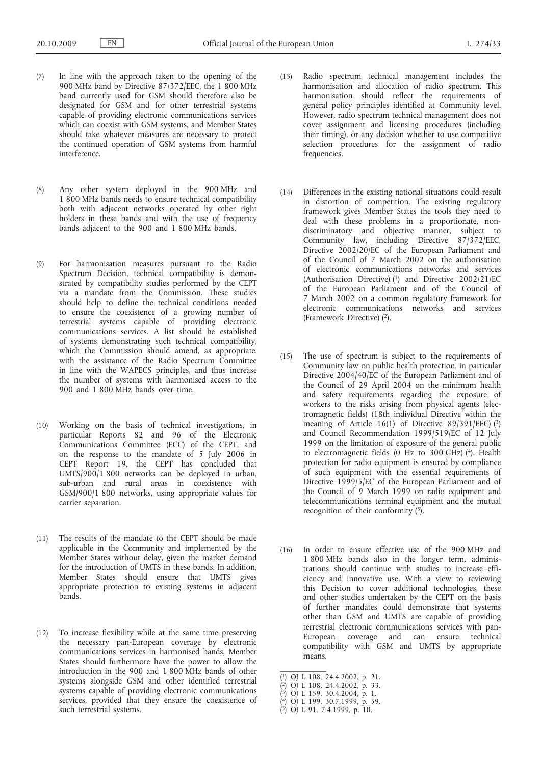- (7) In line with the approach taken to the opening of the 900 MHz band by Directive 87/372/EEC, the 1 800 MHz band currently used for GSM should therefore also be designated for GSM and for other terrestrial systems capable of providing electronic communications services which can coexist with GSM systems, and Member States should take whatever measures are necessary to protect the continued operation of GSM systems from harmful interference.
- (8) Any other system deployed in the 900 MHz and 1 800 MHz bands needs to ensure technical compatibility both with adjacent networks operated by other right holders in these bands and with the use of frequency bands adjacent to the 900 and 1 800 MHz bands.
- (9) For harmonisation measures pursuant to the Radio Spectrum Decision, technical compatibility is demonstrated by compatibility studies performed by the CEPT via a mandate from the Commission. These studies should help to define the technical conditions needed to ensure the coexistence of a growing number of terrestrial systems capable of providing electronic communications services. A list should be established of systems demonstrating such technical compatibility, which the Commission should amend, as appropriate, with the assistance of the Radio Spectrum Committee in line with the WAPECS principles, and thus increase the number of systems with harmonised access to the 900 and 1 800 MHz bands over time.
- (10) Working on the basis of technical investigations, in particular Reports 82 and 96 of the Electronic Communications Committee (ECC) of the CEPT, and on the response to the mandate of 5 July 2006 in CEPT Report 19, the CEPT has concluded that UMTS/900/1 800 networks can be deployed in urban, sub-urban and rural areas in coexistence with GSM/900/1 800 networks, using appropriate values for carrier separation.
- (11) The results of the mandate to the CEPT should be made applicable in the Community and implemented by the Member States without delay, given the market demand for the introduction of UMTS in these bands. In addition, Member States should ensure that UMTS gives appropriate protection to existing systems in adjacent bands.
- (12) To increase flexibility while at the same time preserving the necessary pan-European coverage by electronic communications services in harmonised bands, Member States should furthermore have the power to allow the introduction in the 900 and 1 800 MHz bands of other systems alongside GSM and other identified terrestrial systems capable of providing electronic communications services, provided that they ensure the coexistence of such terrestrial systems.
- (13) Radio spectrum technical management includes the harmonisation and allocation of radio spectrum. This harmonisation should reflect the requirements of general policy principles identified at Community level. However, radio spectrum technical management does not cover assignment and licensing procedures (including their timing), or any decision whether to use competitive selection procedures for the assignment of radio frequencies.
- (14) Differences in the existing national situations could result in distortion of competition. The existing regulatory framework gives Member States the tools they need to deal with these problems in a proportionate, nondiscriminatory and objective manner, subject to Community law, including Directive 87/372/EEC, Directive 2002/20/EC of the European Parliament and of the Council of 7 March 2002 on the authorisation of electronic communications networks and services (Authorisation Directive) (1) and Directive 2002/21/EC of the European Parliament and of the Council of 7 March 2002 on a common regulatory framework for electronic communications networks and services (Framework Directive) (2).
- (15) The use of spectrum is subject to the requirements of Community law on public health protection, in particular Directive 2004/40/EC of the European Parliament and of the Council of 29 April 2004 on the minimum health and safety requirements regarding the exposure of workers to the risks arising from physical agents (electromagnetic fields) (18th individual Directive within the meaning of Article 16(1) of Directive 89/391/EEC) (3) and Council Recommendation 1999/519/EC of 12 July 1999 on the limitation of exposure of the general public to electromagnetic fields (0 Hz to 300 GHz) (4). Health protection for radio equipment is ensured by compliance of such equipment with the essential requirements of Directive 1999/5/EC of the European Parliament and of the Council of 9 March 1999 on radio equipment and telecommunications terminal equipment and the mutual recognition of their conformity  $(5)$ .
- (16) In order to ensure effective use of the 900 MHz and 1 800 MHz bands also in the longer term, administrations should continue with studies to increase efficiency and innovative use. With a view to reviewing this Decision to cover additional technologies, these and other studies undertaken by the CEPT on the basis of further mandates could demonstrate that systems other than GSM and UMTS are capable of providing terrestrial electronic communications services with pan-European coverage and can ensure technical compatibility with GSM and UMTS by appropriate means.

<sup>(</sup> 1) OJ L 108, 24.4.2002, p. 21.

<sup>(</sup> 2) OJ L 108, 24.4.2002, p. 33.

<sup>(</sup> 3) OJ L 159, 30.4.2004, p. 1.

<sup>(</sup> 4) OJ L 199, 30.7.1999, p. 59.

<sup>(</sup> 5) OJ L 91, 7.4.1999, p. 10.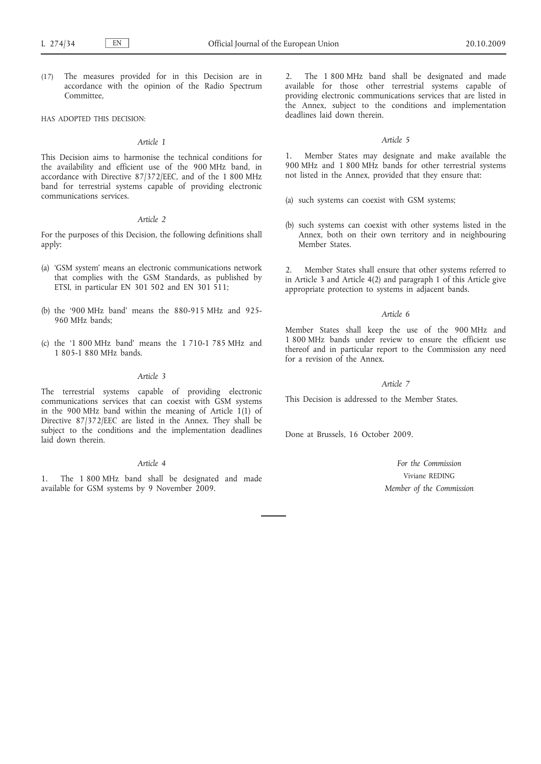(17) The measures provided for in this Decision are in accordance with the opinion of the Radio Spectrum Committee,

#### HAS ADOPTED THIS DECISION:

### *Article 1*

This Decision aims to harmonise the technical conditions for the availability and efficient use of the 900 MHz band, in accordance with Directive 87/372/EEC, and of the 1 800 MHz band for terrestrial systems capable of providing electronic communications services.

## *Article 2*

For the purposes of this Decision, the following definitions shall apply:

- (a) 'GSM system' means an electronic communications network that complies with the GSM Standards, as published by ETSI, in particular EN 301 502 and EN 301 511;
- (b) the '900 MHz band' means the 880-915 MHz and 925- 960 MHz bands;
- (c) the '1 800 MHz band' means the 1 710-1 785 MHz and 1 805-1 880 MHz bands.

## *Article 3*

The terrestrial systems capable of providing electronic communications services that can coexist with GSM systems in the 900 MHz band within the meaning of Article  $1(1)$  of Directive 87/372/EEC are listed in the Annex. They shall be subject to the conditions and the implementation deadlines laid down therein.

## *Article 4*

1. The 1 800 MHz band shall be designated and made available for GSM systems by 9 November 2009.

2. The 1 800 MHz band shall be designated and made available for those other terrestrial systems capable of providing electronic communications services that are listed in the Annex, subject to the conditions and implementation deadlines laid down therein.

#### *Article 5*

1. Member States may designate and make available the 900 MHz and 1 800 MHz bands for other terrestrial systems not listed in the Annex, provided that they ensure that:

- (a) such systems can coexist with GSM systems;
- (b) such systems can coexist with other systems listed in the Annex, both on their own territory and in neighbouring Member States.

2. Member States shall ensure that other systems referred to in Article 3 and Article 4(2) and paragraph 1 of this Article give appropriate protection to systems in adjacent bands.

# *Article 6*

Member States shall keep the use of the 900 MHz and 1 800 MHz bands under review to ensure the efficient use thereof and in particular report to the Commission any need for a revision of the Annex.

## *Article 7*

This Decision is addressed to the Member States.

Done at Brussels, 16 October 2009.

*For the Commission* Viviane REDING *Member of the Commission*